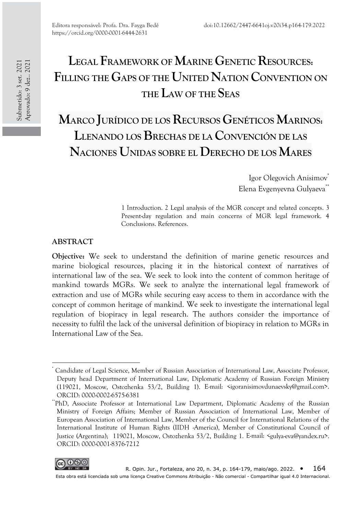# **LEGAL FRAMEWORK OF MARINE GENETIC RESOURCES: FILLING THE GAPS OF THE UNITED NATION CONVENTION ON THE LAW OF THE SEAS**

**MARCO JURÍDICO DE LOS RECURSOS GENÉTICOS MARINOS: LLENANDO LOS BRECHAS DE LA CONVENCIÓN DE LAS NACIONES UNIDAS SOBRE EL DERECHO DE LOS MARES**

> Igor Olegovich Anisimov<sup>\*</sup> Elena Evgenyevna Gulyaeva<sup>\*\*</sup>

1 Introduction. 2 Legal analysis of the MGR concept and related concepts. 3 Present-day regulation and main concerns of MGR legal framework. 4 Conclusions. References.

#### **ABSTRACT**

**Objective:** We seek to understand the definition of marine genetic resources and marine biological resources, placing it in the historical context of narratives of international law of the sea. We seek to look into the content of common heritage of mankind towards MGRs. We seek to analyze the international legal framework of extraction and use of MGRs while securing easy access to them in accordance with the concept of common heritage of mankind. We seek to investigate the international legal regulation of biopiracy in legal research. The authors consider the importance of necessity to fulfil the lack of the universal definition of biopiracy in relation to MGRs in International Law of the Sea.

<sup>\*\*</sup>PhD, Associate Professor at International Law Department, Diplomatic Academy of the Russian Ministry of Foreign Affairs; Member of Russian Association of International Law, Member of European Association of International Law, Member of the Council for International Relations of the International Institute of Human Rights (IIDH -America), Member of Constitutional Council of Justice (Argentina); 119021, Moscow, Ostozhenka 53/2, Building 1. E-mail: <gulya-eva@yandex.ru>. ORCID: 0000-0001-8376-7212



<sup>\*</sup> Candidate of Legal Science, Member of Russian Association of International Law, Associate Professor, Deputy head Department of International Law, Diplomatic Academy of Russian Foreign Ministry (119021, Moscow, Ostozhenka 53/2, Building 1). E-mail: <igoranisimovdunaevsky@gmail.com>. ORCID: 0000-0002-6575-6381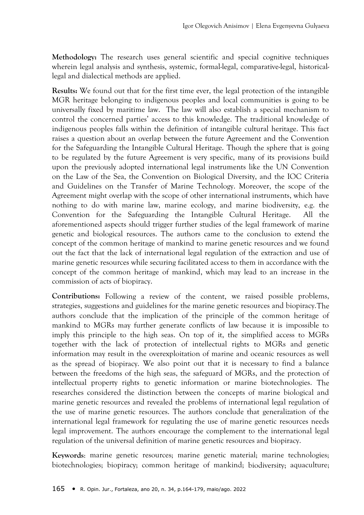**Methodology:** The research uses general scientific and special cognitive techniques wherein legal analysis and synthesis, systemic, formal-legal, comparative-legal, historicallegal and dialectical methods are applied.

**Results:** We found out that for the first time ever, the legal protection of the intangible MGR heritage belonging to indigenous peoples and local communities is going to be universally fixed by maritime law. The law will also establish a special mechanism to control the concerned parties' access to this knowledge. The traditional knowledge of indigenous peoples falls within the definition of intangible cultural heritage. This fact raises a question about an overlap between the future Agreement and the Convention for the Safeguarding the Intangible Cultural Heritage. Though the sphere that is going to be regulated by the future Agreement is very specific, many of its provisions build upon the previously adopted international legal instruments like the UN Convention on the Law of the Sea, the Convention on Biological Diversity, and the IOC Criteria and Guidelines on the Transfer of Marine Technology. Moreover, the scope of the Agreement might overlap with the scope of other international instruments, which have nothing to do with marine law, marine ecology, and marine biodiversity, e.g. the Convention for the Safeguarding the Intangible Cultural Heritage. All the aforementioned aspects should trigger further studies of the legal framework of marine genetic and biological resources. The authors came to the conclusion to extend the concept of the common heritage of mankind to marine genetic resources and we found out the fact that the lack of international legal regulation of the extraction and use of marine genetic resources while securing facilitated access to them in accordance with the concept of the common heritage of mankind, which may lead to an increase in the commission of acts of biopiracy.

**Contributions:** Following a review of the content, we raised possible problems, strategies, suggestions and guidelines for the marine genetic resources and biopiracy.The authors conclude that the implication of the principle of the common heritage of mankind to MGRs may further generate conflicts of law because it is impossible to imply this principle to the high seas. On top of it, the simplified access to MGRs together with the lack of protection of intellectual rights to MGRs and genetic information may result in the overexploitation of marine and oceanic resources as well as the spread of biopiracy. We also point out that it is necessary to find a balance between the freedoms of the high seas, the safeguard of MGRs, and the protection of intellectual property rights to genetic information or marine biotechnologies. The researches considered the distinction between the concepts of marine biological and marine genetic resources and revealed the problems of international legal regulation of the use of marine genetic resources. The authors conclude that generalization of the international legal framework for regulating the use of marine genetic resources needs legal improvement. The authors encourage the complement to the international legal regulation of the universal definition of marine genetic resources and biopiracy.

**Keywords**: marine genetic resources; marine genetic material; marine technologies; biotechnologies; biopiracy; common heritage of mankind; biodiversity; aquaculture;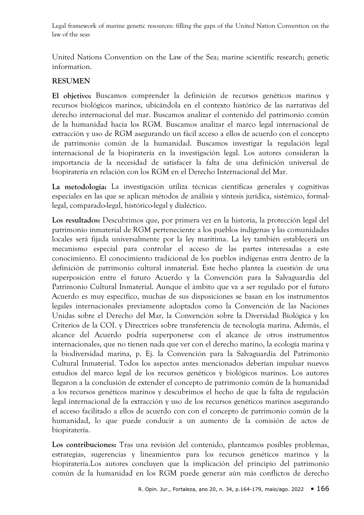United Nations Convention on the Law of the Sea; marine scientific research; genetic information.

# **RESUMEN**

**El objetivo:** Buscamos comprender la definición de recursos genéticos marinos y recursos biológicos marinos, ubicándola en el contexto histórico de las narrativas del derecho internacional del mar. Buscamos analizar el contenido del patrimonio común de la humanidad hacia los RGM. Buscamos analizar el marco legal internacional de extracción y uso de RGM asegurando un fácil acceso a ellos de acuerdo con el concepto de patrimonio común de la humanidad. Buscamos investigar la regulación legal internacional de la biopiratería en la investigación legal. Los autores consideran la importancia de la necesidad de satisfacer la falta de una definición universal de biopiratería en relación con los RGM en el Derecho Internacional del Mar.

**La metodología:** La investigación utiliza técnicas científicas generales y cognitivas especiales en las que se aplican métodos de análisis y síntesis jurídica, sistémico, formallegal, comparado-legal, histórico-legal y dialéctico.

**Los resultados:** Descubrimos que, por primera vez en la historia, la protección legal del patrimonio inmaterial de RGM perteneciente a los pueblos indígenas y las comunidades locales será fijada universalmente por la ley marítima. La ley también establecerá un mecanismo especial para controlar el acceso de las partes interesadas a este conocimiento. El conocimiento tradicional de los pueblos indígenas entra dentro de la definición de patrimonio cultural inmaterial. Este hecho plantea la cuestión de una superposición entre el futuro Acuerdo y la Convención para la Salvaguardia del Patrimonio Cultural Inmaterial. Aunque el ámbito que va a ser regulado por el futuro Acuerdo es muy específico, muchas de sus disposiciones se basan en los instrumentos legales internacionales previamente adoptados como la Convención de las Naciones Unidas sobre el Derecho del Mar, la Convención sobre la Diversidad Biológica y los Criterios de la COI. y Directrices sobre transferencia de tecnología marina. Además, el alcance del Acuerdo podría superponerse con el alcance de otros instrumentos internacionales, que no tienen nada que ver con el derecho marino, la ecología marina y la biodiversidad marina, p. Ej. la Convención para la Salvaguardia del Patrimonio Cultural Inmaterial. Todos los aspectos antes mencionados deberían impulsar nuevos estudios del marco legal de los recursos genéticos y biológicos marinos. Los autores llegaron a la conclusión de extender el concepto de patrimonio común de la humanidad a los recursos genéticos marinos y descubrimos el hecho de que la falta de regulación legal internacional de la extracción y uso de los recursos genéticos marinos asegurando el acceso facilitado a ellos de acuerdo con con el concepto de patrimonio común de la humanidad, lo que puede conducir a un aumento de la comisión de actos de biopiratería.

**Los contribuciones:** Tras una revisión del contenido, planteamos posibles problemas, estrategias, sugerencias y lineamientos para los recursos genéticos marinos y la biopiratería.Los autores concluyen que la implicación del principio del patrimonio común de la humanidad en los RGM puede generar aún más conflictos de derecho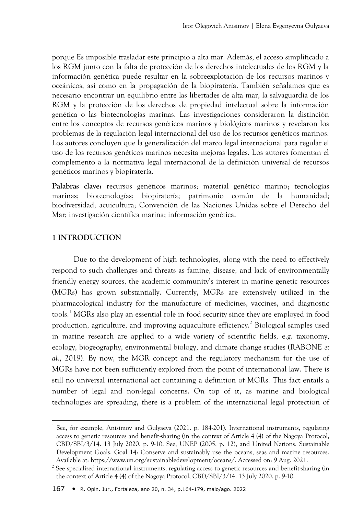porque Es imposible trasladar este principio a alta mar. Además, el acceso simplificado a los RGM junto con la falta de protección de los derechos intelectuales de los RGM y la información genética puede resultar en la sobreexplotación de los recursos marinos y oceánicos, así como en la propagación de la biopiratería. También señalamos que es necesario encontrar un equilibrio entre las libertades de alta mar, la salvaguardia de los RGM y la protección de los derechos de propiedad intelectual sobre la información genética o las biotecnologías marinas. Las investigaciones consideraron la distinción entre los conceptos de recursos genéticos marinos y biológicos marinos y revelaron los problemas de la regulación legal internacional del uso de los recursos genéticos marinos. Los autores concluyen que la generalización del marco legal internacional para regular el uso de los recursos genéticos marinos necesita mejoras legales. Los autores fomentan el complemento a la normativa legal internacional de la definición universal de recursos genéticos marinos y biopiratería.

**Palabras clave:** recursos genéticos marinos; material genético marino; tecnologías marinas; biotecnologías; biopiratería; patrimonio común de la humanidad; biodiversidad; acuicultura; Convención de las Naciones Unidas sobre el Derecho del Mar; investigación científica marina; información genética.

### **1 INTRODUCTION**

 $\overline{\phantom{a}}$ 

Due to the development of high technologies, along with the need to effectively respond to such challenges and threats as famine, disease, and lack of environmentally friendly energy sources, the academic community's interest in marine genetic resources (MGRs) has grown substantially. Currently, MGRs are extensively utilized in the pharmacological industry for the manufacture of medicines, vaccines, and diagnostic tools.<sup>1</sup> MGRs also play an essential role in food security since they are employed in food production, agriculture, and improving aquaculture efficiency.<sup>2</sup> Biological samples used in marine research are applied to a wide variety of scientific fields, e.g. taxonomy, ecology, biogeography, environmental biology, and climate change studies (RABONE *et al.*, 2019). By now, the MGR concept and the regulatory mechanism for the use of MGRs have not been sufficiently explored from the point of international law. There is still no universal international act containing a definition of MGRs. This fact entails a number of legal and non-legal concerns. On top of it, as marine and biological technologies are spreading, there is a problem of the international legal protection of

<sup>&</sup>lt;sup>1</sup> See, for example, Anisimov and Gulyaeva (2021. p. 184-201). International instruments, regulating access to genetic resources and benefit-sharing (in the context of Article 4 (4) of the Nagoya Protocol, CBD/SBI/3/14. 13 July 2020. p. 9-10. See, UNEP (2005, p. 12), and United Nations. Sustainable Development Goals. Goal 14: Conserve and sustainably use the oceans, seas and marine resources. Available at: https://www.un.org/sustainabledevelopment/oceans/. Accessed on: 9 Aug. 2021.

<sup>&</sup>lt;sup>2</sup> See specialized international instruments, regulating access to genetic resources and benefit-sharing (in the context of Article 4 (4) of the Nagoya Protocol, CBD/SBI/3/14. 13 July 2020. p. 9-10.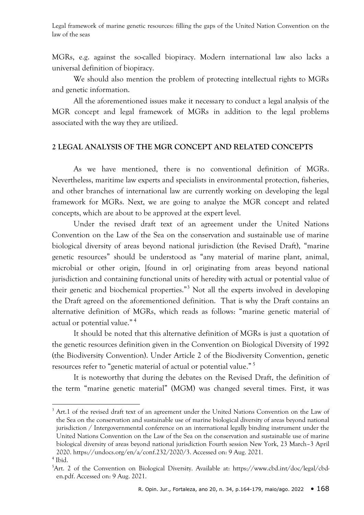MGRs, e.g. against the so-called biopiracy. Modern international law also lacks a universal definition of biopiracy.

We should also mention the problem of protecting intellectual rights to MGRs and genetic information.

All the aforementioned issues make it necessary to conduct a legal analysis of the MGR concept and legal framework of MGRs in addition to the legal problems associated with the way they are utilized.

#### **2 LEGAL ANALYSIS OF THE MGR CONCEPT AND RELATED CONCEPTS**

As we have mentioned, there is no conventional definition of MGRs. Nevertheless, maritime law experts and specialists in environmental protection, fisheries, and other branches of international law are currently working on developing the legal framework for MGRs. Next, we are going to analyze the MGR concept and related concepts, which are about to be approved at the expert level.

Under the revised draft text of an agreement under the United Nations Convention on the Law of the Sea on the conservation and sustainable use of marine biological diversity of areas beyond national jurisdiction (the Revised Draft), "marine genetic resources" should be understood as "any material of marine plant, animal, microbial or other origin, [found in or] originating from areas beyond national jurisdiction and containing functional units of heredity with actual or potential value of their genetic and biochemical properties."<sup>3</sup> Not all the experts involved in developing the Draft agreed on the aforementioned definition. That is why the Draft contains an alternative definition of MGRs, which reads as follows: "marine genetic material of actual or potential value."<sup>4</sup>

It should be noted that this alternative definition of MGRs is just a quotation of the genetic resources definition given in the Convention on Biological Diversity of 1992 (the Biodiversity Convention). Under Article 2 of the Biodiversity Convention, genetic resources refer to "genetic material of actual or potential value."<sup>5</sup>

It is noteworthy that during the debates on the Revised Draft, the definition of the term "marine genetic material" (MGM) was changed several times. First, it was

1

<sup>&</sup>lt;sup>3</sup> Art.1 of the revised draft text of an agreement under the United Nations Convention on the Law of the Sea on the conservation and sustainable use of marine biological diversity of areas beyond national jurisdiction / Intergovernmental conference on an international legally binding instrument under the United Nations Convention on the Law of the Sea on the conservation and sustainable use of marine biological diversity of areas beyond national jurisdiction Fourth session New York, 23 March–3 April 2020. https://undocs.org/en/a/conf.232/2020/3. Accessed on: 9 Aug. 2021.

<sup>4</sup> Ibid.

<sup>5</sup>Art. 2 of the Convention on Biological Diversity. Available at: https://www.cbd.int/doc/legal/cbden.pdf. Accessed on: 9 Aug. 2021.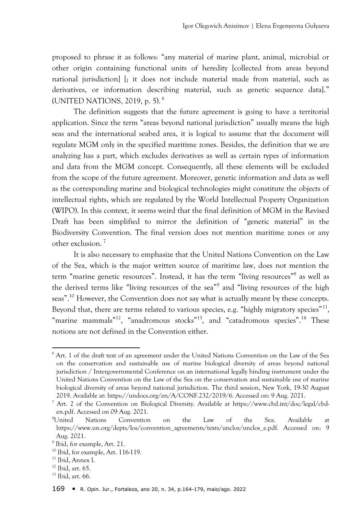proposed to phrase it as follows: "any material of marine plant, animal, microbial or other origin containing functional units of heredity [collected from areas beyond national jurisdiction] [; it does not include material made from material, such as derivatives, or information describing material, such as genetic sequence data]." (UNITED NATIONS, 2019, p. 5). <sup>6</sup>

The definition suggests that the future agreement is going to have a territorial application. Since the term "areas beyond national jurisdiction" usually means the high seas and the international seabed area, it is logical to assume that the document will regulate MGM only in the specified maritime zones. Besides, the definition that we are analyzing has a part, which excludes derivatives as well as certain types of information and data from the MGM concept. Consequently, all these elements will be excluded from the scope of the future agreement. Moreover, genetic information and data as well as the corresponding marine and biological technologies might constitute the objects of intellectual rights, which are regulated by the World Intellectual Property Organization (WIPO). In this context, it seems weird that the final definition of MGM in the Revised Draft has been simplified to mirror the definition of "genetic material" in the Biodiversity Convention. The final version does not mention maritime zones or any other exclusion.<sup>7</sup>

It is also necessary to emphasize that the United Nations Convention on the Law of the Sea, which is the major written source of maritime law, does not mention the term "marine genetic resources". Instead, it has the term "living resources"<sup>8</sup> as well as the derived terms like "living resources of the sea"<sup>9</sup> and "living resources of the high seas".<sup>10</sup> However, the Convention does not say what is actually meant by these concepts. Beyond that, there are terms related to various species, e.g. "highly migratory species"<sup>11</sup>, "marine mammals"<sup>12</sup>, "anadromous stocks"<sup>13</sup>, and "catadromous species".<sup>14</sup> These notions are not defined in the Convention either.

<sup>&</sup>lt;sup>6</sup> Art. 1 of the draft text of an agreement under the United Nations Convention on the Law of the Sea on the conservation and sustainable use of marine biological diversity of areas beyond national jurisdiction / Intergovernmental Conference on an international legally binding instrument under the United Nations Convention on the Law of the Sea on the conservation and sustainable use of marine biological diversity of areas beyond national jurisdiction. The third session, New York, 19-30 August 2019. Available at: https://undocs.org/en/A/CONF.232/2019/6. Accessed on: 9 Aug. 2021.

<sup>7</sup> Art. 2 of the Convention on Biological Diversity. Available at https://www.cbd.int/doc/legal/cbden.pdf. Accessed on 09 Aug. 2021.

<sup>8</sup>United Nations Convention on the Law of the Sea. Available at https://www.un.org/depts/los/convention\_agreements/texts/unclos/unclos\_e.pdf. Accessed on: 9 Aug. 2021.

<sup>&</sup>lt;sup>9</sup> Ibid, for example, Art. 21.

 $10$  Ibid, for example, Art. 116-119.

<sup>11</sup> Ibid, Annex I.

 $12$  Ibid, art. 65.

 $13$  Ibid, art. 66.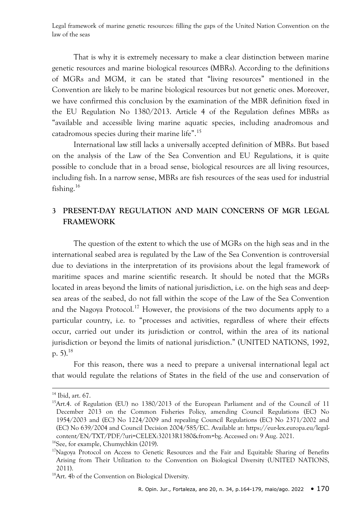That is why it is extremely necessary to make a clear distinction between marine genetic resources and marine biological resources (MBRs). According to the definitions of MGRs and MGM, it can be stated that "living resources" mentioned in the Convention are likely to be marine biological resources but not genetic ones. Moreover, we have confirmed this conclusion by the examination of the MBR definition fixed in the EU Regulation No 1380/2013. Article 4 of the Regulation defines MBRs as "available and accessible living marine aquatic species, including anadromous and catadromous species during their marine life".<sup>15</sup>

International law still lacks a universally accepted definition of MBRs. But based on the analysis of the Law of the Sea Convention and EU Regulations, it is quite possible to conclude that in a broad sense, biological resources are all living resources, including fish. In a narrow sense, MBRs are fish resources of the seas used for industrial fishing.<sup>16</sup>

# **3 PRESENT-DAY REGULATION AND MAIN CONCERNS OF MGR LEGAL FRAMEWORK**

The question of the extent to which the use of MGRs on the high seas and in the international seabed area is regulated by the Law of the Sea Convention is controversial due to deviations in the interpretation of its provisions about the legal framework of maritime spaces and marine scientific research. It should be noted that the MGRs located in areas beyond the limits of national jurisdiction, i.e. on the high seas and deepsea areas of the seabed, do not fall within the scope of the Law of the Sea Convention and the Nagoya Protocol.<sup>17</sup> However, the provisions of the two documents apply to a particular country, i.e. to "processes and activities, regardless of where their effects occur, carried out under its jurisdiction or control, within the area of its national jurisdiction or beyond the limits of national jurisdiction." (UNITED NATIONS, 1992, p. 5). $^{18}$ 

For this reason, there was a need to prepare a universal international legal act that would regulate the relations of States in the field of the use and conservation of

<sup>14</sup> Ibid, art. 67.

<sup>&</sup>lt;sup>15</sup>Art.4. of Regulation (EU) no 1380/2013 of the European Parliament and of the Council of 11 December 2013 on the Common Fisheries Policy, amending Council Regulations (EC) No 1954/2003 and (EC) No 1224/2009 and repealing Council Regulations (EC) No 2371/2002 and (EC) No 639/2004 and Council Decision 2004/585/EC. Available at: https://eur-lex.europa.eu/legalcontent/EN/TXT/PDF/?uri=CELEX:32013R1380&from=bg. Accessed on: 9 Aug. 2021.

<sup>&</sup>lt;sup>16</sup>See, for example, Chumychkin (2019).

 $17$ Nagoya Protocol on Access to Genetic Resources and the Fair and Equitable Sharing of Benefits Arising from Their Utilization to the Convention on Biological Diversity (UNITED NATIONS, 2011).

<sup>&</sup>lt;sup>18</sup>Art. 4b of the Convention on Biological Diversity.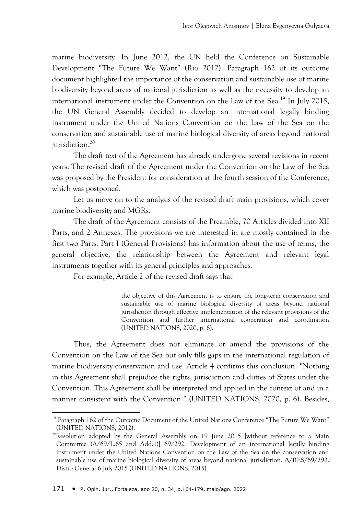marine biodiversity. In June 2012, the UN held the Conference on Sustainable Development "The Future We Want" (Rio 2012). Paragraph 162 of its outcome document highlighted the importance of the conservation and sustainable use of marine biodiversity beyond areas of national jurisdiction as well as the necessity to develop an international instrument under the Convention on the Law of the Sea.<sup>19</sup> In July 2015, the UN General Assembly decided to develop an international legally binding instrument under the United Nations Convention on the Law of the Sea on the conservation and sustainable use of marine biological diversity of areas beyond national jurisdiction.<sup>20</sup>

The draft text of the Agreement has already undergone several revisions in recent years. The revised draft of the Agreement under the Convention on the Law of the Sea was proposed by the President for consideration at the fourth session of the Conference, which was postponed.

Let us move on to the analysis of the revised draft main provisions, which cover marine biodiversity and MGRs.

The draft of the Agreement consists of the Preamble, 70 Articles divided into XII Parts, and 2 Annexes. The provisions we are interested in are mostly contained in the first two Parts. Part I (General Provisions) has information about the use of terms, the general objective, the relationship between the Agreement and relevant legal instruments together with its general principles and approaches.

For example, Article 2 of the revised draft says that

the objective of this Agreement is to ensure the long-term conservation and sustainable use of marine biological diversity of areas beyond national jurisdiction through effective implementation of the relevant provisions of the Convention and further international cooperation and coordination (UNITED NATIONS, 2020, p. 6).

Thus, the Agreement does not eliminate or amend the provisions of the Convention on the Law of the Sea but only fills gaps in the international regulation of marine biodiversity conservation and use. Article 4 confirms this conclusion: "Nothing in this Agreement shall prejudice the rights, jurisdiction and duties of States under the Convention. This Agreement shall be interpreted and applied in the context of and in a manner consistent with the Convention." (UNITED NATIONS, 2020, p. 6). Besides,

<sup>1</sup>  $19$  Paragraph 162 of the Outcome Document of the United Nations Conference "The Future We Want" (UNITED NATIONS, 2012).

<sup>&</sup>lt;sup>20</sup>Resolution adopted by the General Assembly on 19 June 2015 [without reference to a Main Committee (A/69/L.65 and Add.1)] 69/292. Development of an international legally binding instrument under the United Nations Convention on the Law of the Sea on the conservation and sustainable use of marine biological diversity of areas beyond national jurisdiction. A/RES/69/292. Distr.: General 6 July 2015 (UNITED NATIONS, 2015).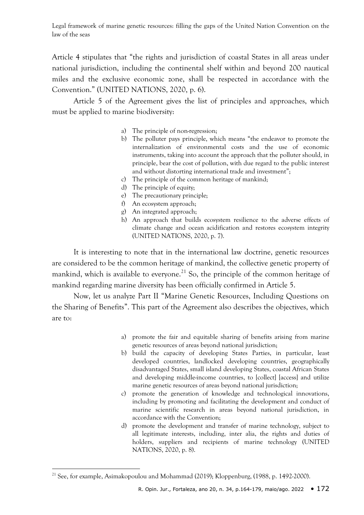Article 4 stipulates that "the rights and jurisdiction of coastal States in all areas under national jurisdiction, including the continental shelf within and beyond 200 nautical miles and the exclusive economic zone, shall be respected in accordance with the Convention." (UNITED NATIONS, 2020, p. 6).

Article 5 of the Agreement gives the list of principles and approaches, which must be applied to marine biodiversity:

- a) The principle of non-regression;
- b) The polluter pays principle, which means "the endeavor to promote the internalization of environmental costs and the use of economic instruments, taking into account the approach that the polluter should, in principle, bear the cost of pollution, with due regard to the public interest and without distorting international trade and investment";
- c) The principle of the common heritage of mankind;
- d) The principle of equity;
- e) The precautionary principle;
- f) An ecosystem approach;
- g) An integrated approach;
- h) An approach that builds ecosystem resilience to the adverse effects of climate change and ocean acidification and restores ecosystem integrity (UNITED NATIONS, 2020, p. 7).

It is interesting to note that in the international law doctrine, genetic resources are considered to be the common heritage of mankind, the collective genetic property of mankind, which is available to everyone.<sup>21</sup> So, the principle of the common heritage of mankind regarding marine diversity has been officially confirmed in Article 5.

Now, let us analyze Part II "Marine Genetic Resources, Including Questions on the Sharing of Benefits". This part of the Agreement also describes the objectives, which are to:

- a) promote the fair and equitable sharing of benefits arising from marine genetic resources of areas beyond national jurisdiction;
- b) build the capacity of developing States Parties, in particular, least developed countries, landlocked developing countries, geographically disadvantaged States, small island developing States, coastal African States and developing middle-income countries, to [collect] [access] and utilize marine genetic resources of areas beyond national jurisdiction;
- c) promote the generation of knowledge and technological innovations, including by promoting and facilitating the development and conduct of marine scientific research in areas beyond national jurisdiction, in accordance with the Convention;
- d) promote the development and transfer of marine technology, subject to all legitimate interests, including, inter alia, the rights and duties of holders, suppliers and recipients of marine technology (UNITED NATIONS, 2020, p. 8).

<sup>&</sup>lt;sup>21</sup> See, for example, Asimakopoulou and Mohammad (2019); Kloppenburg, (1988, p. 1492-2000).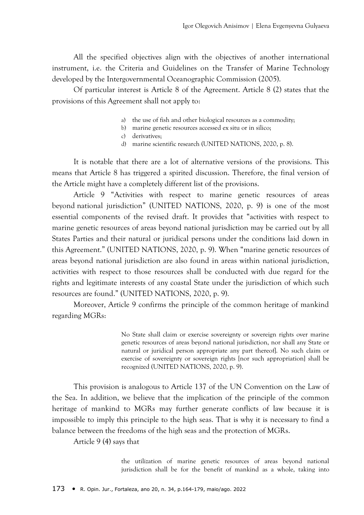All the specified objectives align with the objectives of another international instrument, i.e. the Criteria and Guidelines on the Transfer of Marine Technology developed by the Intergovernmental Oceanographic Commission (2005).

Of particular interest is Article 8 of the Agreement. Article 8 (2) states that the provisions of this Agreement shall not apply to:

- a) the use of fish and other biological resources as a commodity;
- b) marine genetic resources accessed ex situ or in silico;
- c) derivatives;
- d) marine scientific research (UNITED NATIONS, 2020, p. 8).

It is notable that there are a lot of alternative versions of the provisions. This means that Article 8 has triggered a spirited discussion. Therefore, the final version of the Article might have a completely different list of the provisions.

Article 9 "Activities with respect to marine genetic resources of areas beyond national jurisdiction" (UNITED NATIONS, 2020, p. 9) is one of the most essential components of the revised draft. It provides that "activities with respect to marine genetic resources of areas beyond national jurisdiction may be carried out by all States Parties and their natural or juridical persons under the conditions laid down in this Agreement." (UNITED NATIONS, 2020, p. 9). When "marine genetic resources of areas beyond national jurisdiction are also found in areas within national jurisdiction, activities with respect to those resources shall be conducted with due regard for the rights and legitimate interests of any coastal State under the jurisdiction of which such resources are found." (UNITED NATIONS, 2020, p. 9).

Moreover, Article 9 confirms the principle of the common heritage of mankind regarding MGRs:

> No State shall claim or exercise sovereignty or sovereign rights over marine genetic resources of areas beyond national jurisdiction, nor shall any State or natural or juridical person appropriate any part thereof]. No such claim or exercise of sovereignty or sovereign rights [nor such appropriation] shall be recognized (UNITED NATIONS, 2020, p. 9).

This provision is analogous to Article 137 of the UN Convention on the Law of the Sea. In addition, we believe that the implication of the principle of the common heritage of mankind to MGRs may further generate conflicts of law because it is impossible to imply this principle to the high seas. That is why it is necessary to find a balance between the freedoms of the high seas and the protection of MGRs.

Article 9 (4) says that

the utilization of marine genetic resources of areas beyond national jurisdiction shall be for the benefit of mankind as a whole, taking into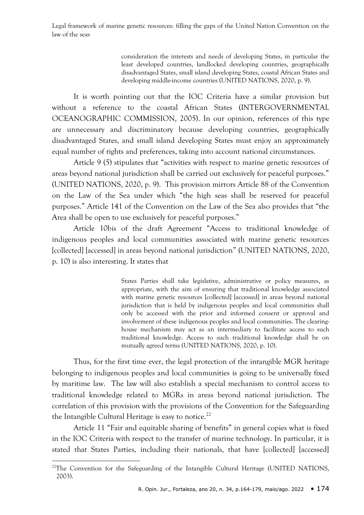> consideration the interests and needs of developing States, in particular the least developed countries, landlocked developing countries, geographically disadvantaged States, small island developing States, coastal African States and developing middle-income countries (UNITED NATIONS, 2020, p. 9).

It is worth pointing out that the IOC Criteria have a similar provision but without a reference to the coastal African States (INTERGOVERNMENTAL OCEANOGRAPHIC COMMISSION, 2005). In our opinion, references of this type are unnecessary and discriminatory because developing countries, geographically disadvantaged States, and small island developing States must enjoy an approximately equal number of rights and preferences, taking into account national circumstances.

Article 9 (5) stipulates that "activities with respect to marine genetic resources of areas beyond national jurisdiction shall be carried out exclusively for peaceful purposes." (UNITED NATIONS, 2020, p. 9). This provision mirrors Article 88 of the Convention on the Law of the Sea under which "the high seas shall be reserved for peaceful purposes." Article 141 of the Convention on the Law of the Sea also provides that "the Area shall be open to use exclusively for peaceful purposes."

Article 10bis of the draft Agreement "Access to traditional knowledge of indigenous peoples and local communities associated with marine genetic resources [collected] [accessed] in areas beyond national jurisdiction" (UNITED NATIONS, 2020, p. 10) is also interesting. It states that

> States Parties shall take legislative, administrative or policy measures, as appropriate, with the aim of ensuring that traditional knowledge associated with marine genetic resources [collected] [accessed] in areas beyond national jurisdiction that is held by indigenous peoples and local communities shall only be accessed with the prior and informed consent or approval and involvement of these indigenous peoples and local communities. The clearinghouse mechanism may act as an intermediary to facilitate access to such traditional knowledge. Access to such traditional knowledge shall be on mutually agreed terms (UNITED NATIONS, 2020, p. 10).

Thus, for the first time ever, the legal protection of the intangible MGR heritage belonging to indigenous peoples and local communities is going to be universally fixed by maritime law. The law will also establish a special mechanism to control access to traditional knowledge related to MGRs in areas beyond national jurisdiction. The correlation of this provision with the provisions of the Convention for the Safeguarding the Intangible Cultural Heritage is easy to notice.<sup>22</sup>

Article 11 "Fair and equitable sharing of benefits" in general copies what is fixed in the IOC Criteria with respect to the transfer of marine technology. In particular, it is stated that States Parties, including their nationals, that have [collected] [accessed]

 $22$ The Convention for the Safeguarding of the Intangible Cultural Heritage (UNITED NATIONS, 2003).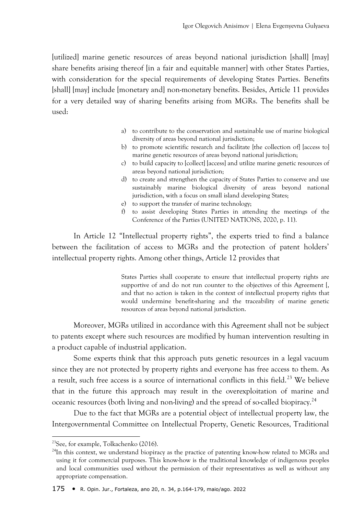[utilized] marine genetic resources of areas beyond national jurisdiction [shall] [may] share benefits arising thereof [in a fair and equitable manner] with other States Parties, with consideration for the special requirements of developing States Parties. Benefits [shall] [may] include [monetary and] non-monetary benefits. Besides, Article 11 provides for a very detailed way of sharing benefits arising from MGRs. The benefits shall be used:

- a) to contribute to the conservation and sustainable use of marine biological diversity of areas beyond national jurisdiction;
- b) to promote scientific research and facilitate [the collection of] [access to] marine genetic resources of areas beyond national jurisdiction;
- c) to build capacity to [collect] [access] and utilize marine genetic resources of areas beyond national jurisdiction;
- d) to create and strengthen the capacity of States Parties to conserve and use sustainably marine biological diversity of areas beyond national jurisdiction, with a focus on small island developing States;
- e) to support the transfer of marine technology;
- f) to assist developing States Parties in attending the meetings of the Conference of the Parties (UNITED NATIONS, 2020, p. 11).

In Article 12 "Intellectual property rights", the experts tried to find a balance between the facilitation of access to MGRs and the protection of patent holders' intellectual property rights. Among other things, Article 12 provides that

> States Parties shall cooperate to ensure that intellectual property rights are supportive of and do not run counter to the objectives of this Agreement [, and that no action is taken in the context of intellectual property rights that would undermine benefit-sharing and the traceability of marine genetic resources of areas beyond national jurisdiction.

Moreover, MGRs utilized in accordance with this Agreement shall not be subject to patents except where such resources are modified by human intervention resulting in a product capable of industrial application.

Some experts think that this approach puts genetic resources in a legal vacuum since they are not protected by property rights and everyone has free access to them. As a result, such free access is a source of international conflicts in this field.<sup>23</sup> We believe that in the future this approach may result in the overexploitation of marine and oceanic resources (both living and non-living) and the spread of so-called biopiracy.<sup>24</sup>

Due to the fact that MGRs are a potential object of intellectual property law, the Intergovernmental Committee on Intellectual Property, Genetic Resources, Traditional

<sup>23</sup>See, for example, Tolkachenko (2016).

 $^{24}$ In this context, we understand biopiracy as the practice of patenting know-how related to MGRs and using it for commercial purposes. This know-how is the traditional knowledge of indigenous peoples and local communities used without the permission of their representatives as well as without any appropriate compensation.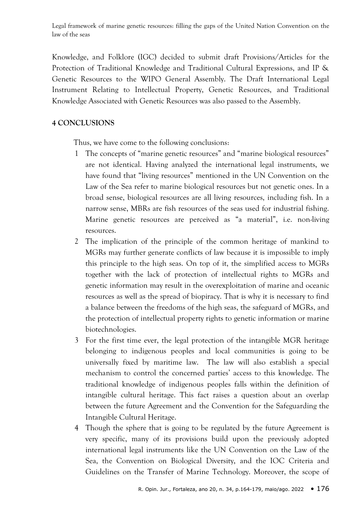Knowledge, and Folklore (IGC) decided to submit draft Provisions/Articles for the Protection of Traditional Knowledge and Traditional Cultural Expressions, and IP & Genetic Resources to the WIPO General Assembly. The Draft International Legal Instrument Relating to Intellectual Property, Genetic Resources, and Traditional Knowledge Associated with Genetic Resources was also passed to the Assembly.

## **4 CONCLUSIONS**

Thus, we have come to the following conclusions:

- 1 The concepts of "marine genetic resources" and "marine biological resources" are not identical. Having analyzed the international legal instruments, we have found that "living resources" mentioned in the UN Convention on the Law of the Sea refer to marine biological resources but not genetic ones. In a broad sense, biological resources are all living resources, including fish. In a narrow sense, MBRs are fish resources of the seas used for industrial fishing. Marine genetic resources are perceived as "a material", i.e. non-living resources.
- 2 The implication of the principle of the common heritage of mankind to MGRs may further generate conflicts of law because it is impossible to imply this principle to the high seas. On top of it, the simplified access to MGRs together with the lack of protection of intellectual rights to MGRs and genetic information may result in the overexploitation of marine and oceanic resources as well as the spread of biopiracy. That is why it is necessary to find a balance between the freedoms of the high seas, the safeguard of MGRs, and the protection of intellectual property rights to genetic information or marine biotechnologies.
- 3 For the first time ever, the legal protection of the intangible MGR heritage belonging to indigenous peoples and local communities is going to be universally fixed by maritime law. The law will also establish a special mechanism to control the concerned parties' access to this knowledge. The traditional knowledge of indigenous peoples falls within the definition of intangible cultural heritage. This fact raises a question about an overlap between the future Agreement and the Convention for the Safeguarding the Intangible Cultural Heritage.
- 4 Though the sphere that is going to be regulated by the future Agreement is very specific, many of its provisions build upon the previously adopted international legal instruments like the UN Convention on the Law of the Sea, the Convention on Biological Diversity, and the IOC Criteria and Guidelines on the Transfer of Marine Technology. Moreover, the scope of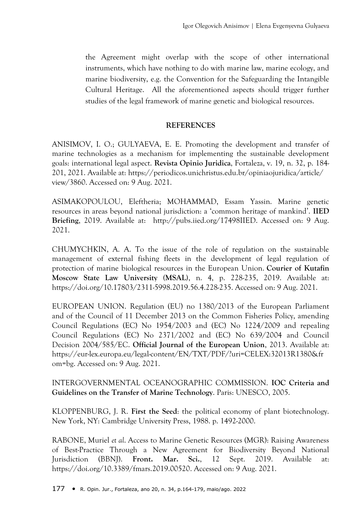the Agreement might overlap with the scope of other international instruments, which have nothing to do with marine law, marine ecology, and marine biodiversity, e.g. the Convention for the Safeguarding the Intangible Cultural Heritage. All the aforementioned aspects should trigger further studies of the legal framework of marine genetic and biological resources.

## **REFERENCES**

ANISIMOV, I. O.; GULYAEVA, E. E. Promoting the development and transfer of marine technologies as a mechanism for implementing the sustainable development goals: international legal aspect. **Revista Opinio Juridica**, Fortaleza, v. 19, n. 32, p. 184- 201, 2021. Available at: https://periodicos.unichristus.edu.br/opiniaojuridica/article/ view/3860. Accessed on: 9 Aug. 2021.

ASIMAKOPOULOU, Eleftheria; MOHAMMAD, Essam Yassin. Marine genetic resources in areas beyond national jurisdiction: a 'common heritage of mankind'. **IIED Briefing**, 2019. Available at: http://pubs.iied.org/17498IIED. Accessed on: 9 Aug. 2021.

CHUMYCHKIN, A. A. To the issue of the role of regulation on the sustainable management of external fishing fleets in the development of legal regulation of protection of marine biological resources in the European Union. **Courier of Kutafin Moscow State Law University (MSAL)**, n. 4, p. 228-235, 2019. Available at: https://doi.org/10.17803/2311-5998.2019.56.4.228-235. Accessed on: 9 Aug. 2021.

EUROPEAN UNION. Regulation (EU) no 1380/2013 of the European Parliament and of the Council of 11 December 2013 on the Common Fisheries Policy, amending Council Regulations (EC) No 1954/2003 and (EC) No 1224/2009 and repealing Council Regulations (EC) No 2371/2002 and (EC) No 639/2004 and Council Decision 2004/585/EC. **Official Journal of the European Union**, 2013. Available at: https://eur-lex.europa.eu/legal-content/EN/TXT/PDF/?uri=CELEX:32013R1380&fr om=bg. Accessed on: 9 Aug. 2021.

# INTERGOVERNMENTAL OCEANOGRAPHIC COMMISSION. **IOC Criteria and Guidelines on the Transfer of Marine Technology**. Paris: UNESCO, 2005.

KLOPPENBURG, J. R. **First the Seed**: the political economy of plant biotechnology. New York, NY: Cambridge University Press, 1988. p. 1492-2000.

RABONE, Muriel *et al*. Access to Marine Genetic Resources (MGR): Raising Awareness of Best-Practice Through a New Agreement for Biodiversity Beyond National Jurisdiction (BBNJ). **Front. Mar. Sci.**, 12 Sept. 2019. Available at: https://doi.org/10.3389/fmars.2019.00520. Accessed on: 9 Aug. 2021.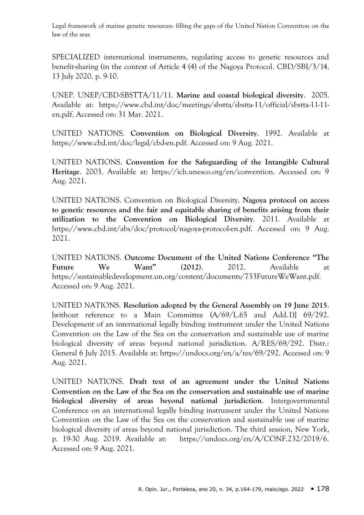SPECIALIZED international instruments, regulating access to genetic resources and benefit-sharing (in the context of Article 4 (4) of the Nagoya Protocol. CBD/SBI/3/14. 13 July 2020. p. 9-10.

UNEP. UNEP/CBD-SBSTTA/11/11. **Marine and coastal biological diversity**. 2005. Available at: https://www.cbd.int/doc/meetings/sbstta/sbstta-11/official/sbstta-11-11 en.pdf. Accessed on: 31 Mar. 2021.

UNITED NATIONS. **Convention on Biological Diversity**. 1992. Available at https://www.cbd.int/doc/legal/cbd-en.pdf. Accessed on: 9 Aug. 2021.

UNITED NATIONS. **Convention for the Safeguarding of the Intangible Cultural Heritage**. 2003. Available at: https://ich.unesco.org/en/convention. Accessed on: 9 Aug. 2021.

UNITED NATIONS. Convention on Biological Diversity. **Nagoya protocol on access to genetic resources and the fair and equitable sharing of benefits arising from their utilization to the Convention on Biological Diversity**. 2011. Available at https://www.cbd.int/abs/doc/protocol/nagoya-protocol-en.pdf. Accessed on: 9 Aug. 2021.

UNITED NATIONS. **Outcome Document of the United Nations Conference "The Future We Want" (2012)**. 2012. Available at https://sustainabledevelopment.un.org/content/documents/733FutureWeWant.pdf. Accessed on: 9 Aug. 2021.

UNITED NATIONS. **Resolution adopted by the General Assembly on 19 June 2015**. [without reference to a Main Committee (A/69/L.65 and Add.1)] 69/292. Development of an international legally binding instrument under the United Nations Convention on the Law of the Sea on the conservation and sustainable use of marine biological diversity of areas beyond national jurisdiction. A/RES/69/292. Distr.: General 6 July 2015. Available at: https://undocs.org/en/a/res/69/292. Accessed on: 9 Aug. 2021.

UNITED NATIONS. **Draft text of an agreement under the United Nations Convention on the Law of the Sea on the conservation and sustainable use of marine biological diversity of areas beyond national jurisdiction**. Intergovernmental Conference on an international legally binding instrument under the United Nations Convention on the Law of the Sea on the conservation and sustainable use of marine biological diversity of areas beyond national jurisdiction. The third session, New York, p. 19-30 Aug. 2019. Available at: https://undocs.org/en/A/CONF.232/2019/6. Accessed on: 9 Aug. 2021.